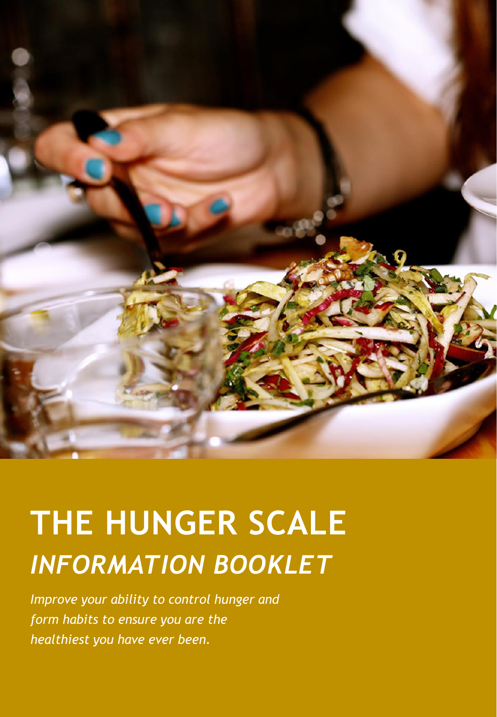

# **THE HUNGER SCALE** *INFORMATION BOOKLET*

*Improve your ability to control hunger and form habits to ensure you are the healthiest you have ever been.*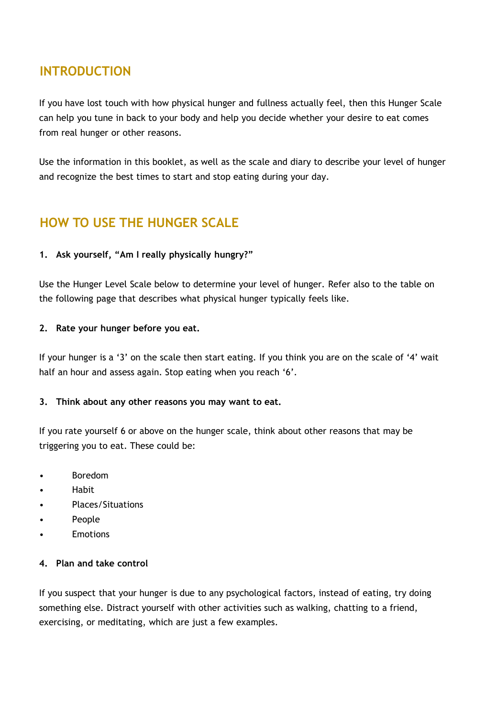# **INTRODUCTION**

If you have lost touch with how physical hunger and fullness actually feel, then this Hunger Scale can help you tune in back to your body and help you decide whether your desire to eat comes from real hunger or other reasons.

Use the information in this booklet, as well as the scale and diary to describe your level of hunger and recognize the best times to start and stop eating during your day.

# **HOW TO USE THE HUNGER SCALE**

## **1. Ask yourself, "Am I really physically hungry?"**

Use the Hunger Level Scale below to determine your level of hunger. Refer also to the table on the following page that describes what physical hunger typically feels like.

## **2. Rate your hunger before you eat.**

If your hunger is a '3' on the scale then start eating. If you think you are on the scale of '4' wait half an hour and assess again. Stop eating when you reach '6'.

## **3. Think about any other reasons you may want to eat.**

If you rate yourself 6 or above on the hunger scale, think about other reasons that may be triggering you to eat. These could be:

- Boredom
- Habit
- Places/Situations
- People
- Emotions

## **4. Plan and take control**

If you suspect that your hunger is due to any psychological factors, instead of eating, try doing something else. Distract yourself with other activities such as walking, chatting to a friend, exercising, or meditating, which are just a few examples.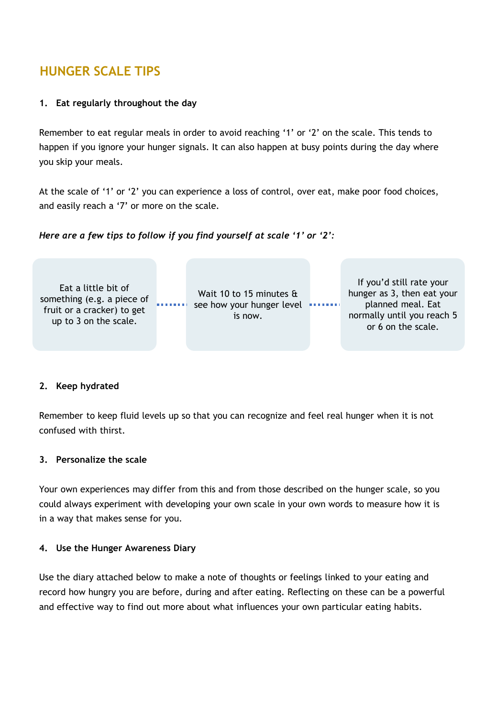# **HUNGER SCALE TIPS**

## **1. Eat regularly throughout the day**

Remember to eat regular meals in order to avoid reaching '1' or '2' on the scale. This tends to happen if you ignore your hunger signals. It can also happen at busy points during the day where you skip your meals.

At the scale of '1' or '2' you can experience a loss of control, over eat, make poor food choices, and easily reach a '7' or more on the scale.





#### **2. Keep hydrated**

Remember to keep fluid levels up so that you can recognize and feel real hunger when it is not confused with thirst.

#### **3. Personalize the scale**

Your own experiences may differ from this and from those described on the hunger scale, so you could always experiment with developing your own scale in your own words to measure how it is in a way that makes sense for you.

#### **4. Use the Hunger Awareness Diary**

Use the diary attached below to make a note of thoughts or feelings linked to your eating and record how hungry you are before, during and after eating. Reflecting on these can be a powerful and effective way to find out more about what influences your own particular eating habits.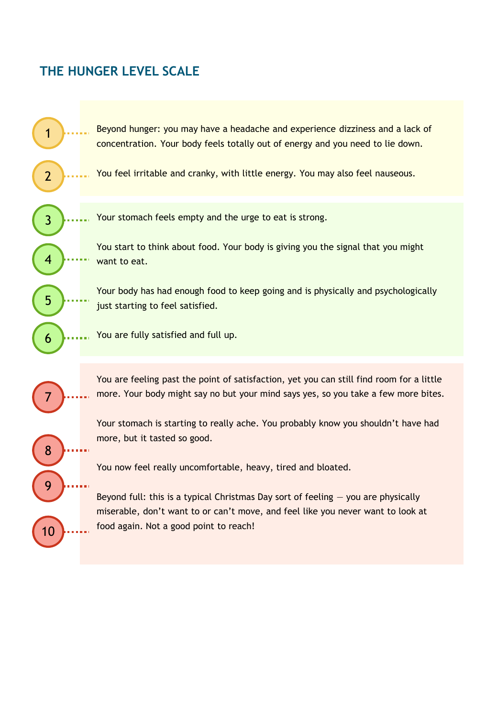# **THE HUNGER LEVEL SCALE**

Beyond hunger: you may have a headache and experience dizziness and a lack of concentration. Your body feels totally out of energy and you need to lie down.

You feel irritable and cranky, with little energy. You may also feel nauseous.

Your stomach feels empty and the urge to eat is strong.

You start to think about food. Your body is giving you the signal that you might want to eat.

Your body has had enough food to keep going and is physically and psychologically just starting to feel satisfied.

You are fully satisfied and full up.

7

8

9

10

4

3

1

2

5

6

You are feeling past the point of satisfaction, yet you can still find room for a little more. Your body might say no but your mind says yes, so you take a few more bites.

Your stomach is starting to really ache. You probably know you shouldn't have had more, but it tasted so good.

You now feel really uncomfortable, heavy, tired and bloated.

Beyond full: this is a typical Christmas Day sort of feeling  $-$  you are physically miserable, don't want to or can't move, and feel like you never want to look at food again. Not a good point to reach!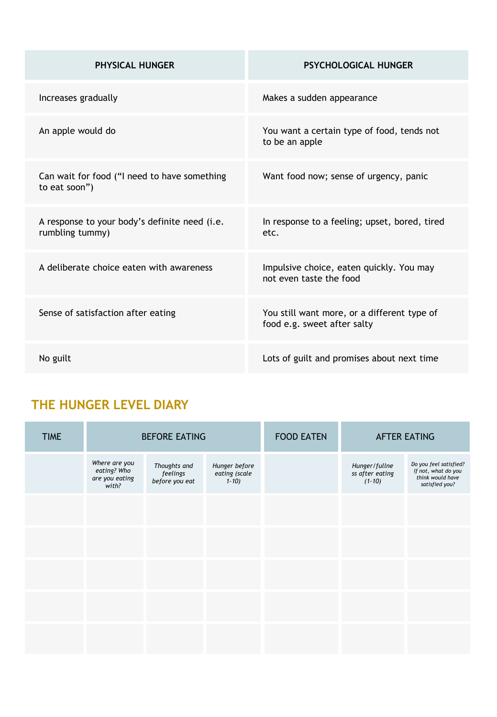| <b>PHYSICAL HUNGER</b>                                           | <b>PSYCHOLOGICAL HUNGER</b>                                                |  |  |
|------------------------------------------------------------------|----------------------------------------------------------------------------|--|--|
| Increases gradually                                              | Makes a sudden appearance                                                  |  |  |
| An apple would do                                                | You want a certain type of food, tends not<br>to be an apple               |  |  |
| Can wait for food ("I need to have something<br>to eat soon")    | Want food now; sense of urgency, panic                                     |  |  |
| A response to your body's definite need (i.e.<br>rumbling tummy) | In response to a feeling; upset, bored, tired<br>etc.                      |  |  |
| A deliberate choice eaten with awareness                         | Impulsive choice, eaten quickly. You may<br>not even taste the food        |  |  |
| Sense of satisfaction after eating                               | You still want more, or a different type of<br>food e.g. sweet after salty |  |  |
| No guilt                                                         | Lots of guilt and promises about next time                                 |  |  |

# **THE HUNGER LEVEL DIARY**

| <b>TIME</b> | <b>BEFORE EATING</b>                                    |                                            |                                            | <b>FOOD EATEN</b> | <b>AFTER EATING</b>                          |                                                                                     |
|-------------|---------------------------------------------------------|--------------------------------------------|--------------------------------------------|-------------------|----------------------------------------------|-------------------------------------------------------------------------------------|
|             | Where are you<br>eating? Who<br>are you eating<br>with? | Thoughts and<br>feelings<br>before you eat | Hunger before<br>eating (scale<br>$1 - 10$ |                   | Hunger/fullne<br>ss after eating<br>$(1-10)$ | Do you feel satisfied?<br>If not, what do you<br>think would have<br>satisfied you? |
|             |                                                         |                                            |                                            |                   |                                              |                                                                                     |
|             |                                                         |                                            |                                            |                   |                                              |                                                                                     |
|             |                                                         |                                            |                                            |                   |                                              |                                                                                     |
|             |                                                         |                                            |                                            |                   |                                              |                                                                                     |
|             |                                                         |                                            |                                            |                   |                                              |                                                                                     |